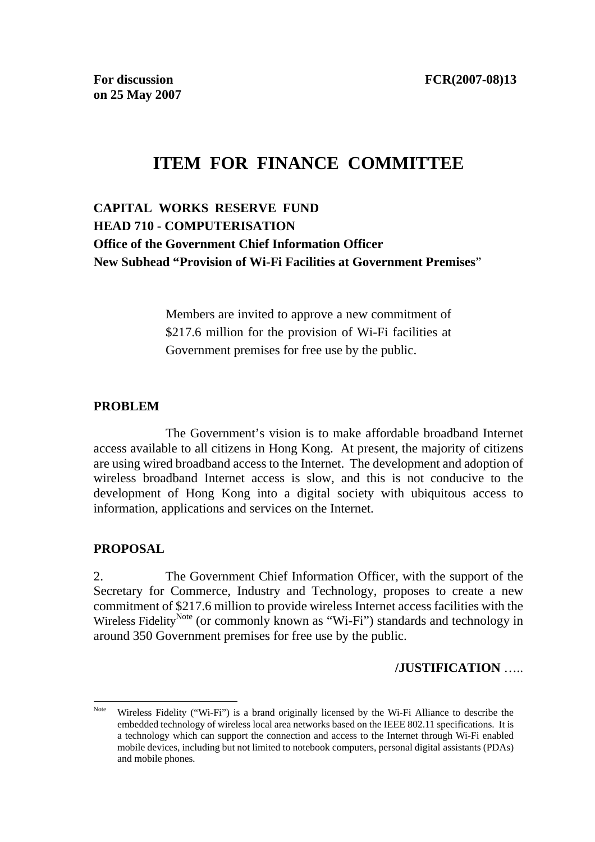# **ITEM FOR FINANCE COMMITTEE**

# **CAPITAL WORKS RESERVE FUND HEAD 710 - COMPUTERISATION Office of the Government Chief Information Officer New Subhead "Provision of Wi-Fi Facilities at Government Premises**"

Members are invited to approve a new commitment of \$217.6 million for the provision of Wi-Fi facilities at Government premises for free use by the public.

#### **PROBLEM**

 The Government's vision is to make affordable broadband Internet access available to all citizens in Hong Kong. At present, the majority of citizens are using wired broadband access to the Internet. The development and adoption of wireless broadband Internet access is slow, and this is not conducive to the development of Hong Kong into a digital society with ubiquitous access to information, applications and services on the Internet.

#### **PROPOSAL**

 $\overline{a}$ 

2. The Government Chief Information Officer, with the support of the Secretary for Commerce, Industry and Technology, proposes to create a new commitment of \$217.6 million to provide wireless Internet access facilities with the Wireless Fidelity<sup>Note</sup> (or commonly known as "Wi-Fi") standards and technology in around 350 Government premises for free use by the public.

#### **/JUSTIFICATION** …..

Note Wireless Fidelity ("Wi-Fi") is a brand originally licensed by the Wi-Fi Alliance to describe the embedded technology of wireless local area networks based on the IEEE 802.11 specifications. It is a technology which can support the connection and access to the Internet through Wi-Fi enabled mobile devices, including but not limited to notebook computers, personal digital assistants (PDAs) and mobile phones*.*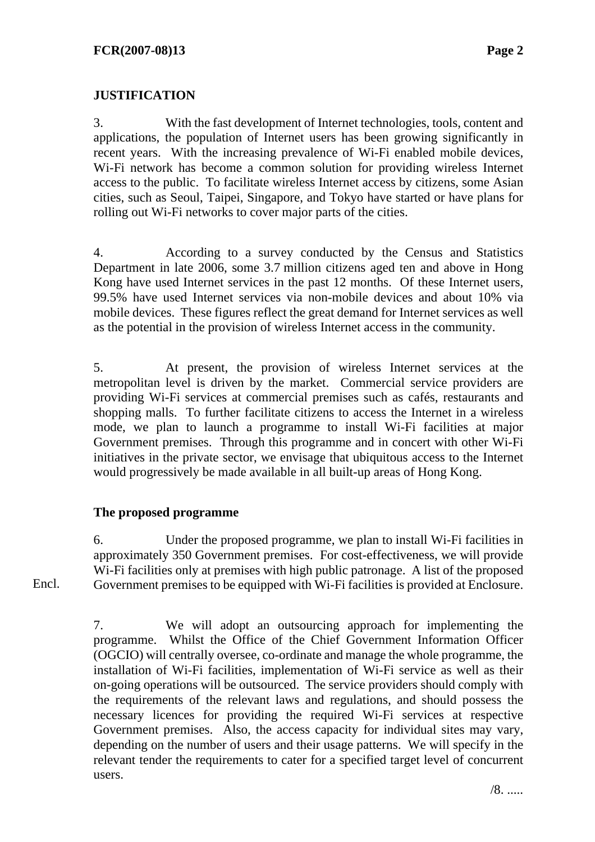# **JUSTIFICATION**

3. With the fast development of Internet technologies, tools, content and applications, the population of Internet users has been growing significantly in recent years. With the increasing prevalence of Wi-Fi enabled mobile devices, Wi-Fi network has become a common solution for providing wireless Internet access to the public. To facilitate wireless Internet access by citizens, some Asian cities, such as Seoul, Taipei, Singapore, and Tokyo have started or have plans for rolling out Wi-Fi networks to cover major parts of the cities.

4. According to a survey conducted by the Census and Statistics Department in late 2006, some 3.7 million citizens aged ten and above in Hong Kong have used Internet services in the past 12 months. Of these Internet users, 99.5% have used Internet services via non-mobile devices and about 10% via mobile devices. These figures reflect the great demand for Internet services as well as the potential in the provision of wireless Internet access in the community.

5. At present, the provision of wireless Internet services at the metropolitan level is driven by the market. Commercial service providers are providing Wi-Fi services at commercial premises such as cafés, restaurants and shopping malls. To further facilitate citizens to access the Internet in a wireless mode, we plan to launch a programme to install Wi-Fi facilities at major Government premises. Through this programme and in concert with other Wi-Fi initiatives in the private sector, we envisage that ubiquitous access to the Internet would progressively be made available in all built-up areas of Hong Kong.

#### **The proposed programme**

6. Under the proposed programme, we plan to install Wi-Fi facilities in approximately 350 Government premises. For cost-effectiveness, we will provide Wi-Fi facilities only at premises with high public patronage. A list of the proposed Government premises to be equipped with Wi-Fi facilities is provided at Enclosure.

Encl.

7. We will adopt an outsourcing approach for implementing the programme. Whilst the Office of the Chief Government Information Officer (OGCIO) will centrally oversee, co-ordinate and manage the whole programme, the installation of Wi-Fi facilities, implementation of Wi-Fi service as well as their on-going operations will be outsourced. The service providers should comply with the requirements of the relevant laws and regulations, and should possess the necessary licences for providing the required Wi-Fi services at respective Government premises. Also, the access capacity for individual sites may vary, depending on the number of users and their usage patterns. We will specify in the relevant tender the requirements to cater for a specified target level of concurrent users.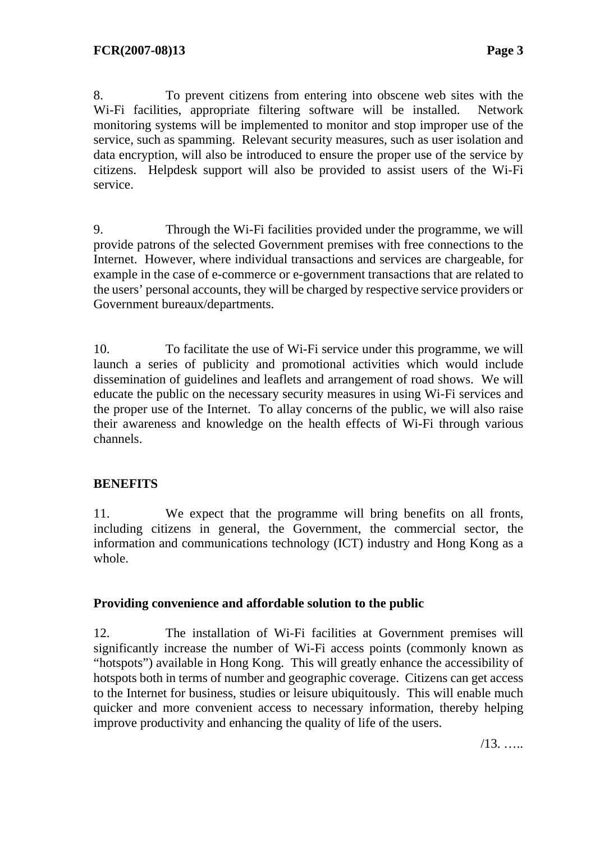8. To prevent citizens from entering into obscene web sites with the Wi-Fi facilities, appropriate filtering software will be installed. Network monitoring systems will be implemented to monitor and stop improper use of the service, such as spamming. Relevant security measures, such as user isolation and data encryption, will also be introduced to ensure the proper use of the service by citizens. Helpdesk support will also be provided to assist users of the Wi-Fi service.

9. Through the Wi-Fi facilities provided under the programme, we will provide patrons of the selected Government premises with free connections to the Internet. However, where individual transactions and services are chargeable, for example in the case of e-commerce or e-government transactions that are related to the users' personal accounts, they will be charged by respective service providers or Government bureaux/departments.

10. To facilitate the use of Wi-Fi service under this programme, we will launch a series of publicity and promotional activities which would include dissemination of guidelines and leaflets and arrangement of road shows. We will educate the public on the necessary security measures in using Wi-Fi services and the proper use of the Internet. To allay concerns of the public, we will also raise their awareness and knowledge on the health effects of Wi-Fi through various channels.

#### **BENEFITS**

11. We expect that the programme will bring benefits on all fronts, including citizens in general, the Government, the commercial sector, the information and communications technology (ICT) industry and Hong Kong as a whole.

#### **Providing convenience and affordable solution to the public**

12. The installation of Wi-Fi facilities at Government premises will significantly increase the number of Wi-Fi access points (commonly known as "hotspots") available in Hong Kong. This will greatly enhance the accessibility of hotspots both in terms of number and geographic coverage. Citizens can get access to the Internet for business, studies or leisure ubiquitously. This will enable much quicker and more convenient access to necessary information, thereby helping improve productivity and enhancing the quality of life of the users.

/13. …..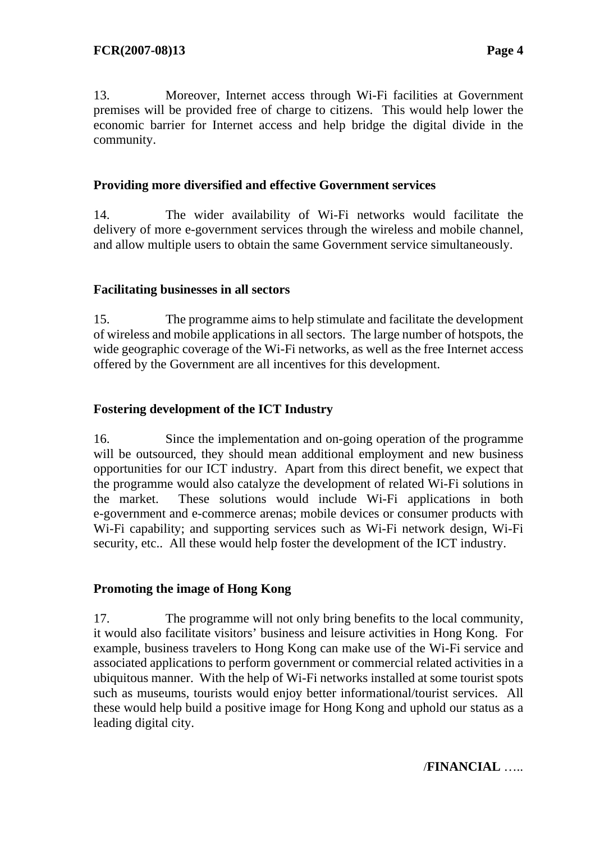13. Moreover, Internet access through Wi-Fi facilities at Government premises will be provided free of charge to citizens. This would help lower the economic barrier for Internet access and help bridge the digital divide in the community.

# **Providing more diversified and effective Government services**

14. The wider availability of Wi-Fi networks would facilitate the delivery of more e-government services through the wireless and mobile channel, and allow multiple users to obtain the same Government service simultaneously.

#### **Facilitating businesses in all sectors**

15. The programme aims to help stimulate and facilitate the development of wireless and mobile applications in all sectors. The large number of hotspots, the wide geographic coverage of the Wi-Fi networks, as well as the free Internet access offered by the Government are all incentives for this development.

# **Fostering development of the ICT Industry**

16. Since the implementation and on-going operation of the programme will be outsourced, they should mean additional employment and new business opportunities for our ICT industry. Apart from this direct benefit, we expect that the programme would also catalyze the development of related Wi-Fi solutions in the market. These solutions would include Wi-Fi applications in both e-government and e-commerce arenas; mobile devices or consumer products with Wi-Fi capability; and supporting services such as Wi-Fi network design, Wi-Fi security, etc.. All these would help foster the development of the ICT industry.

#### **Promoting the image of Hong Kong**

17. The programme will not only bring benefits to the local community, it would also facilitate visitors' business and leisure activities in Hong Kong. For example, business travelers to Hong Kong can make use of the Wi-Fi service and associated applications to perform government or commercial related activities in a ubiquitous manner. With the help of Wi-Fi networks installed at some tourist spots such as museums, tourists would enjoy better informational/tourist services. All these would help build a positive image for Hong Kong and uphold our status as a leading digital city.

/**FINANCIAL** …..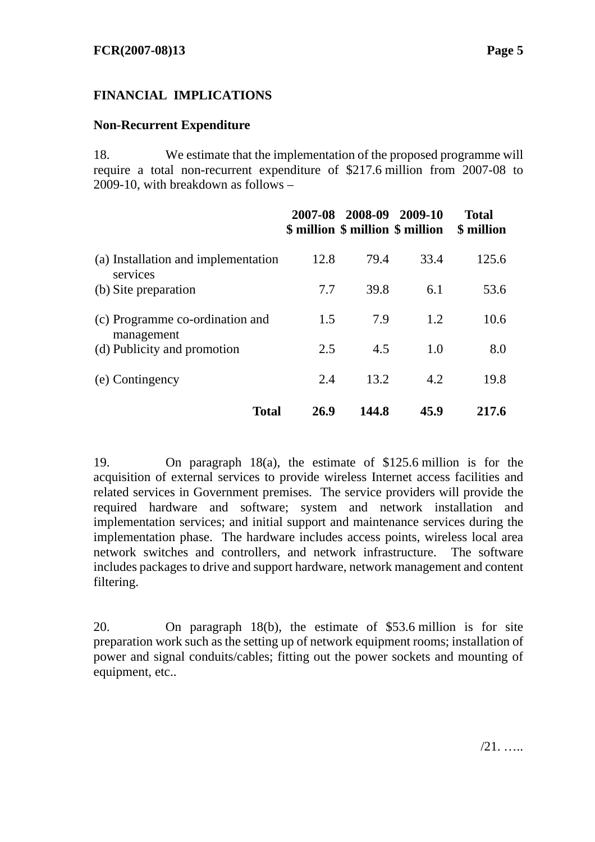# **FINANCIAL IMPLICATIONS**

#### **Non-Recurrent Expenditure**

18. We estimate that the implementation of the proposed programme will require a total non-recurrent expenditure of \$217.6 million from 2007-08 to 2009-10, with breakdown as follows –

|                                                 |      | 2007-08 2008-09 2009-10 | \$ million \$ million \$ million | <b>Total</b><br>\$ million |
|-------------------------------------------------|------|-------------------------|----------------------------------|----------------------------|
| (a) Installation and implementation<br>services | 12.8 | 79.4                    | 33.4                             | 125.6                      |
| (b) Site preparation                            | 7.7  | 39.8                    | 6.1                              | 53.6                       |
| (c) Programme co-ordination and<br>management   | 1.5  | 7.9                     | 1.2                              | 10.6                       |
| (d) Publicity and promotion                     | 2.5  | 4.5                     | 1.0                              | 8.0                        |
| (e) Contingency                                 | 2.4  | 13.2                    | 4.2                              | 19.8                       |
| <b>Total</b>                                    | 26.9 | 144.8                   | 45.9                             | 217.6                      |

19. On paragraph 18(a), the estimate of \$125.6 million is for the acquisition of external services to provide wireless Internet access facilities and related services in Government premises. The service providers will provide the required hardware and software; system and network installation and implementation services; and initial support and maintenance services during the implementation phase. The hardware includes access points, wireless local area network switches and controllers, and network infrastructure. The software includes packages to drive and support hardware, network management and content filtering.

20. On paragraph 18(b), the estimate of \$53.6 million is for site preparation work such as the setting up of network equipment rooms; installation of power and signal conduits/cables; fitting out the power sockets and mounting of equipment, etc..

/21. …..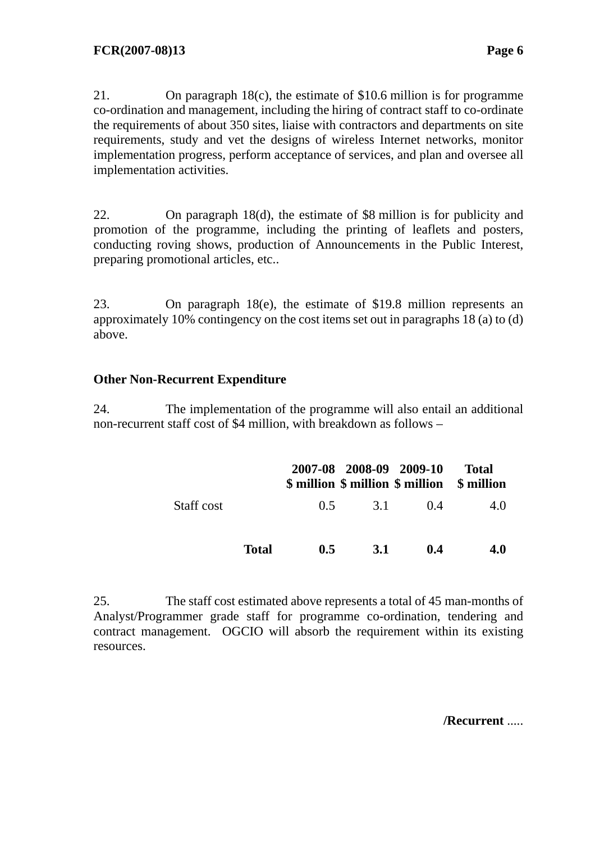21. On paragraph 18(c), the estimate of \$10.6 million is for programme co-ordination and management, including the hiring of contract staff to co-ordinate the requirements of about 350 sites, liaise with contractors and departments on site requirements, study and vet the designs of wireless Internet networks, monitor implementation progress, perform acceptance of services, and plan and oversee all implementation activities.

22. On paragraph 18(d), the estimate of \$8 million is for publicity and promotion of the programme, including the printing of leaflets and posters, conducting roving shows, production of Announcements in the Public Interest, preparing promotional articles, etc..

23. On paragraph 18(e), the estimate of \$19.8 million represents an approximately 10% contingency on the cost items set out in paragraphs 18 (a) to (d) above.

# **Other Non-Recurrent Expenditure**

24. The implementation of the programme will also entail an additional non-recurrent staff cost of \$4 million, with breakdown as follows –

|            |              |     |            | 2007-08 2008-09 2009-10 | <b>Total</b><br>\$ million \$ million \$ million \$ million |
|------------|--------------|-----|------------|-------------------------|-------------------------------------------------------------|
| Staff cost |              | 0.5 | 3.1        | (1.4)                   | 4.0                                                         |
|            | <b>Total</b> | 0.5 | <b>3.1</b> | 0.4                     | 4.0                                                         |

25. The staff cost estimated above represents a total of 45 man-months of Analyst/Programmer grade staff for programme co-ordination, tendering and contract management. OGCIO will absorb the requirement within its existing resources.

**/Recurrent** .....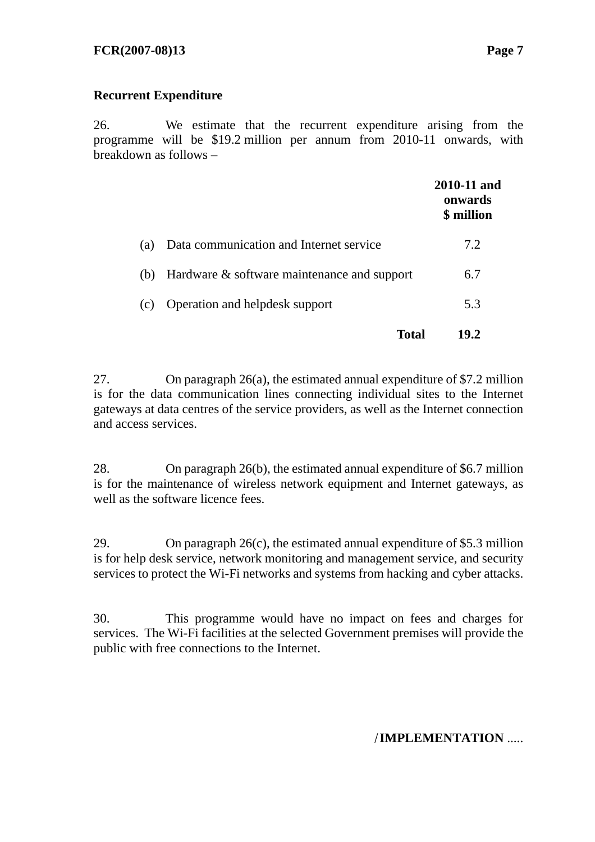# **Recurrent Expenditure**

26. We estimate that the recurrent expenditure arising from the programme will be \$19.2 million per annum from 2010-11 onwards, with breakdown as follows –

|     |                                             | 2010-11 and<br>onwards<br>\$ million |
|-----|---------------------------------------------|--------------------------------------|
| (a) | Data communication and Internet service     | 7.2.                                 |
| (b) | Hardware & software maintenance and support | 6.7                                  |
| (c) | Operation and helpdesk support              | 5.3                                  |
|     | Total                                       | 19.2                                 |

27. On paragraph 26(a), the estimated annual expenditure of \$7.2 million is for the data communication lines connecting individual sites to the Internet gateways at data centres of the service providers, as well as the Internet connection and access services.

28. On paragraph 26(b), the estimated annual expenditure of \$6.7 million is for the maintenance of wireless network equipment and Internet gateways, as well as the software licence fees.

29. On paragraph 26(c), the estimated annual expenditure of \$5.3 million is for help desk service, network monitoring and management service, and security services to protect the Wi-Fi networks and systems from hacking and cyber attacks.

30. This programme would have no impact on fees and charges for services. The Wi-Fi facilities at the selected Government premises will provide the public with free connections to the Internet.

/**IMPLEMENTATION** .....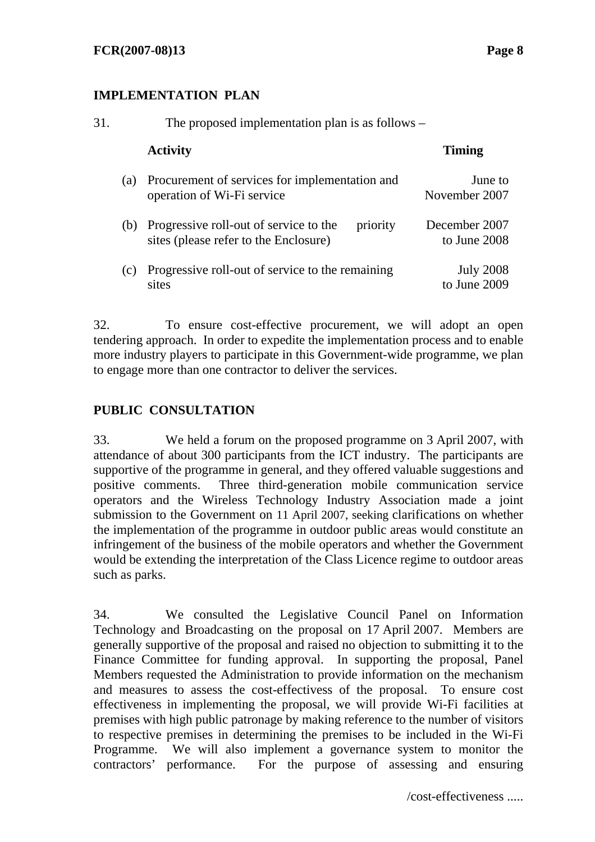## **IMPLEMENTATION PLAN**

| 31. |     | The proposed implementation plan is as follows –                                                |                                  |  |  |
|-----|-----|-------------------------------------------------------------------------------------------------|----------------------------------|--|--|
|     |     | <b>Activity</b>                                                                                 | <b>Timing</b>                    |  |  |
|     | (a) | Procurement of services for implementation and<br>operation of Wi-Fi service                    | June to<br>November 2007         |  |  |
|     |     | (b) Progressive roll-out of service to the<br>priority<br>sites (please refer to the Enclosure) | December 2007<br>to June 2008    |  |  |
|     | (c) | Progressive roll-out of service to the remaining<br>sites                                       | <b>July 2008</b><br>to June 2009 |  |  |

32. To ensure cost-effective procurement, we will adopt an open tendering approach. In order to expedite the implementation process and to enable more industry players to participate in this Government-wide programme, we plan to engage more than one contractor to deliver the services.

# **PUBLIC CONSULTATION**

33. We held a forum on the proposed programme on 3 April 2007, with attendance of about 300 participants from the ICT industry. The participants are supportive of the programme in general, and they offered valuable suggestions and positive comments. Three third-generation mobile communication service operators and the Wireless Technology Industry Association made a joint submission to the Government on 11 April 2007, seeking clarifications on whether the implementation of the programme in outdoor public areas would constitute an infringement of the business of the mobile operators and whether the Government would be extending the interpretation of the Class Licence regime to outdoor areas such as parks.

34. We consulted the Legislative Council Panel on Information Technology and Broadcasting on the proposal on 17 April 2007. Members are generally supportive of the proposal and raised no objection to submitting it to the Finance Committee for funding approval. In supporting the proposal, Panel Members requested the Administration to provide information on the mechanism and measures to assess the cost-effectivess of the proposal. To ensure cost effectiveness in implementing the proposal, we will provide Wi-Fi facilities at premises with high public patronage by making reference to the number of visitors to respective premises in determining the premises to be included in the Wi-Fi Programme. We will also implement a governance system to monitor the contractors' performance. For the purpose of assessing and ensuring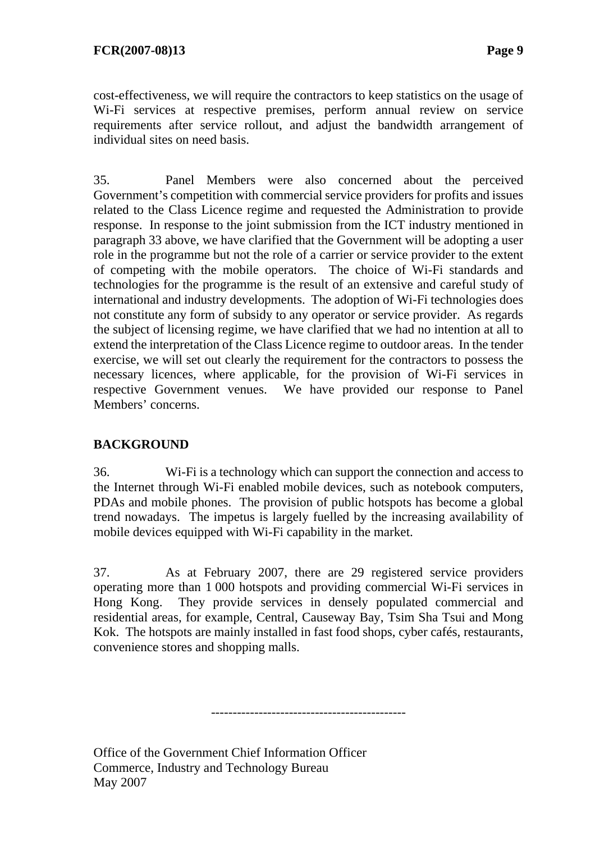cost-effectiveness, we will require the contractors to keep statistics on the usage of Wi-Fi services at respective premises, perform annual review on service requirements after service rollout, and adjust the bandwidth arrangement of individual sites on need basis.

35. Panel Members were also concerned about the perceived Government's competition with commercial service providers for profits and issues related to the Class Licence regime and requested the Administration to provide response. In response to the joint submission from the ICT industry mentioned in paragraph 33 above, we have clarified that the Government will be adopting a user role in the programme but not the role of a carrier or service provider to the extent of competing with the mobile operators. The choice of Wi-Fi standards and technologies for the programme is the result of an extensive and careful study of international and industry developments. The adoption of Wi-Fi technologies does not constitute any form of subsidy to any operator or service provider. As regards the subject of licensing regime, we have clarified that we had no intention at all to extend the interpretation of the Class Licence regime to outdoor areas. In the tender exercise, we will set out clearly the requirement for the contractors to possess the necessary licences, where applicable, for the provision of Wi-Fi services in respective Government venues. We have provided our response to Panel Members' concerns.

# **BACKGROUND**

36. Wi-Fi is a technology which can support the connection and access to the Internet through Wi-Fi enabled mobile devices, such as notebook computers, PDAs and mobile phones. The provision of public hotspots has become a global trend nowadays. The impetus is largely fuelled by the increasing availability of mobile devices equipped with Wi-Fi capability in the market.

37. As at February 2007, there are 29 registered service providers operating more than 1 000 hotspots and providing commercial Wi-Fi services in Hong Kong. They provide services in densely populated commercial and residential areas, for example, Central, Causeway Bay, Tsim Sha Tsui and Mong Kok. The hotspots are mainly installed in fast food shops, cyber cafés, restaurants, convenience stores and shopping malls.

---------------------------------------------

Office of the Government Chief Information Officer Commerce, Industry and Technology Bureau May 2007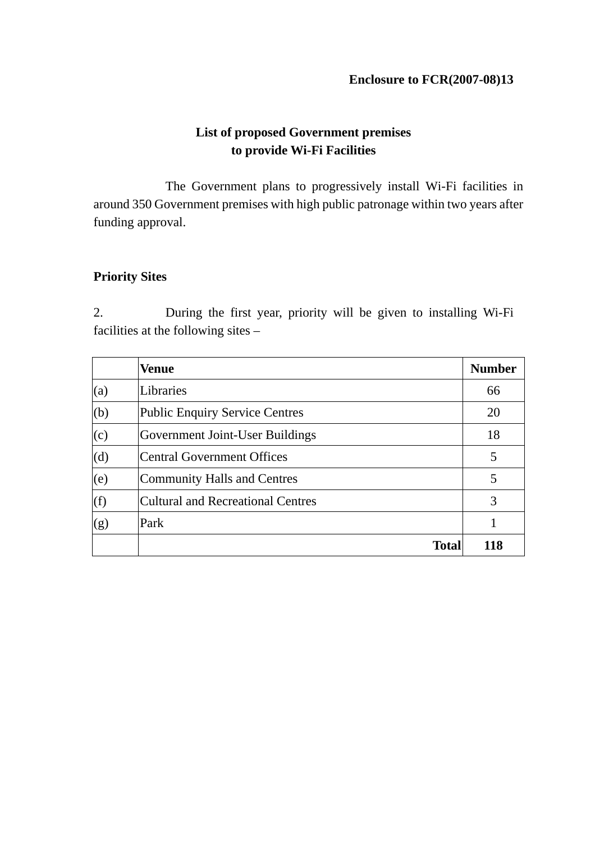# **List of proposed Government premises to provide Wi-Fi Facilities**

 The Government plans to progressively install Wi-Fi facilities in around 350 Government premises with high public patronage within two years after funding approval.

# **Priority Sites**

2. During the first year, priority will be given to installing Wi-Fi facilities at the following sites –

|     | <b>Venue</b>                           | <b>Number</b> |
|-----|----------------------------------------|---------------|
| (a) | Libraries                              | 66            |
| (b) | <b>Public Enquiry Service Centres</b>  | 20            |
| (c) | <b>Government Joint-User Buildings</b> | 18            |
| (d) | Central Government Offices             | 5             |
| (e) | Community Halls and Centres            | 5             |
| (f) | Cultural and Recreational Centres      | 3             |
| (g) | Park                                   |               |
|     | <b>Total</b>                           | 118           |